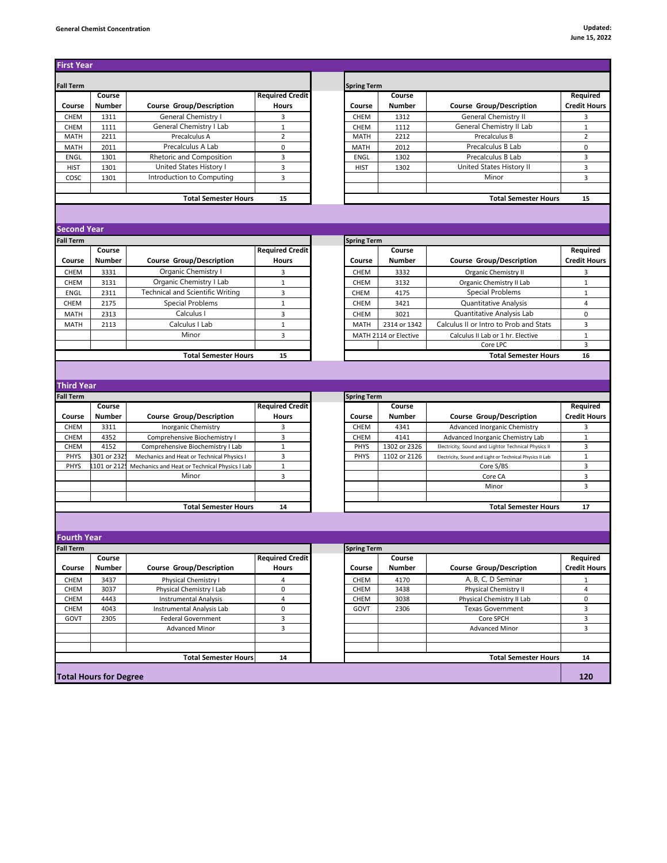## **General Chemist Concentration Updated:**

| <b>Spring Term</b><br><b>Fall Term</b><br><b>Required Credit</b><br>Required<br>Course<br>Course<br><b>Course Group/Description</b><br><b>Course Group/Description</b><br><b>Credit Hours</b><br>Course<br>Number<br>Hours<br>Course<br><b>Number</b><br>General Chemistry I<br>CHEM<br>1311<br>CHEM<br>1312<br><b>General Chemistry II</b><br>3<br>3<br>General Chemistry I Lab<br>General Chemistry II Lab<br>CHEM<br>$\mathbf 1$<br>CHEM<br>$1\,$<br>1111<br>1112<br>Precalculus A<br>Precalculus B<br>$\mathbf 2$<br><b>MATH</b><br>2211<br>$\overline{2}$<br><b>MATH</b><br>2212<br>Precalculus A Lab<br>Precalculus B Lab<br>2011<br>$\mathbf 0$<br>$\mathbf 0$<br><b>MATH</b><br>MATH<br>2012<br>Rhetoric and Composition<br>Precalculus B Lab<br>3<br>3<br>ENGL<br>1301<br>ENGL<br>1302<br>United States History I<br>United States History II<br>3<br><b>HIST</b><br>1301<br>3<br>1302<br><b>HIST</b><br>Introduction to Computing<br>3<br>3<br>cosc<br>1301<br>Minor<br><b>Total Semester Hours</b><br><b>Total Semester Hours</b><br>15<br>15<br><b>Second Year</b><br><b>Fall Term</b><br><b>Spring Term</b><br><b>Required Credit</b><br>Required<br>Course<br>Course<br>Number<br><b>Course Group/Description</b><br><b>Hours</b><br>Course<br><b>Number</b><br><b>Course Group/Description</b><br>Organic Chemistry I<br>CHEM<br>3331<br>3332<br>Organic Chemistry II<br>3<br>3<br><b>CHEM</b><br>Organic Chemistry I Lab<br>$\mathbf 1$<br>$\mathbf 1$<br>CHEM<br>3131<br>3132<br>Organic Chemistry II Lab<br><b>CHEM</b><br><b>Technical and Scientific Writing</b><br>Special Problems<br>2311<br>3<br>CHEM<br>$\mathbf{1}$<br>ENGL<br>4175<br><b>Special Problems</b><br><b>Quantitative Analysis</b><br>$\overline{4}$<br>CHEM<br>2175<br>$\mathbf{1}$<br><b>CHEM</b><br>3421<br>Calculus I<br>Quantitative Analysis Lab<br><b>MATH</b><br>2313<br>3<br>CHEM<br>3021<br>0<br>3<br>2113<br>Calculus I Lab<br>$\mathbf{1}$<br>2314 or 1342<br>Calculus II or Intro to Prob and Stats<br>MATH<br>MATH<br>Minor<br>3<br>$1\,$<br>MATH 2114 or Elective<br>Calculus II Lab or 1 hr. Elective<br>3<br>Core LPC<br><b>Total Semester Hours</b><br>15<br><b>Total Semester Hours</b><br>16<br><b>Third Year</b><br><b>Spring Term</b><br><b>Required Credit</b><br>Course<br>Course<br><b>Course Group/Description</b><br><b>Course Group/Description</b><br>Number<br><b>Hours</b><br><b>Number</b><br>Credit Hours<br>Course<br>Course<br>CHEM<br>3311<br>Inorganic Chemistry<br>3<br>CHEM<br>4341<br>Advanced Inorganic Chemistry<br>3<br>Comprehensive Biochemistry I<br>4141<br>Advanced Inorganic Chemistry Lab<br>CHEM<br>4352<br>3<br>CHEM<br>$\mathbf{1}$<br>Electricity, Sound and Lightor Technical Physics II<br>3<br>CHEM<br>4152<br>Comprehensive Biochemistry I Lab<br>$\mathbf{1}$<br>PHYS<br>1302 or 2326<br>301 or 232<br>3<br>1102 or 2126<br>PHYS<br>Mechanics and Heat or Technical Physics I<br><b>PHYS</b><br>1<br>Electricity, Sound and Light or Technical Physics II Lab<br>3<br>PHYS<br>101 or 212<br>Mechanics and Heat or Technical Physics I Lab<br>1<br>Core S/BS<br>Minor<br>3<br>3<br>Core CA<br>3<br>Minor<br><b>Total Semester Hours</b><br><b>Total Semester Hours</b><br>14<br>17<br><b>Fourth Year</b><br><b>Spring Term</b><br><b>Fall Term</b><br><b>Required Credit</b><br>Course<br>Course<br>Required<br><b>Course Group/Description</b><br><b>Course Group/Description</b><br><b>Credit Hours</b><br>Number<br><b>Hours</b><br>Course<br>Number<br>A, B, C, D Seminar<br>CHEM<br>3437<br>Physical Chemistry I<br>CHEM<br>4170<br>4<br>1<br>Physical Chemistry I Lab<br>$\mathsf 0$<br>Physical Chemistry II<br>$\overline{4}$<br>CHEM<br>3037<br>CHEM<br>3438<br>Physical Chemistry II Lab<br>CHEM<br>4443<br><b>Instrumental Analysis</b><br>4<br>CHEM<br>3038<br>0<br>4043<br>0<br>3<br>CHEM<br>Instrumental Analysis Lab<br>GOVT<br>2306<br><b>Texas Government</b><br>3<br>Core SPCH<br>GOVT<br>2305<br>Federal Government<br>3<br>3<br><b>Advanced Minor</b><br>3<br><b>Advanced Minor</b><br><b>Total Semester Hours</b><br>14<br><b>Total Semester Hours</b><br>14<br><b>Total Hours for Degree</b><br>120 |                  |  |  |  |                     |
|---------------------------------------------------------------------------------------------------------------------------------------------------------------------------------------------------------------------------------------------------------------------------------------------------------------------------------------------------------------------------------------------------------------------------------------------------------------------------------------------------------------------------------------------------------------------------------------------------------------------------------------------------------------------------------------------------------------------------------------------------------------------------------------------------------------------------------------------------------------------------------------------------------------------------------------------------------------------------------------------------------------------------------------------------------------------------------------------------------------------------------------------------------------------------------------------------------------------------------------------------------------------------------------------------------------------------------------------------------------------------------------------------------------------------------------------------------------------------------------------------------------------------------------------------------------------------------------------------------------------------------------------------------------------------------------------------------------------------------------------------------------------------------------------------------------------------------------------------------------------------------------------------------------------------------------------------------------------------------------------------------------------------------------------------------------------------------------------------------------------------------------------------------------------------------------------------------------------------------------------------------------------------------------------------------------------------------------------------------------------------------------------------------------------------------------------------------------------------------------------------------------------------------------------------------------------------------------------------------------------------------------------------------------------------------------------------------------------------------------------------------------------------------------------------------------------------------------------------------------------------------------------------------------------------------------------------------------------------------------------------------------------------------------------------------------------------------------------------------------------------------------------------------------------------------------------------------------------------------------------------------------------------------------------------------------------------------------------------------------------------------------------------------------------------------------------------------------------------------------------------------------------------------------------------------------------------------------------------------------------------------------------------------------------------------------------------------------------------------------------------------------------------------------------------------------------------------------------------------------------------------------------------------------------------------------------------------------------------------------------------------------------------------------------------------------------------------------------------------------------------------------------------------------------------|------------------|--|--|--|---------------------|
|                                                                                                                                                                                                                                                                                                                                                                                                                                                                                                                                                                                                                                                                                                                                                                                                                                                                                                                                                                                                                                                                                                                                                                                                                                                                                                                                                                                                                                                                                                                                                                                                                                                                                                                                                                                                                                                                                                                                                                                                                                                                                                                                                                                                                                                                                                                                                                                                                                                                                                                                                                                                                                                                                                                                                                                                                                                                                                                                                                                                                                                                                                                                                                                                                                                                                                                                                                                                                                                                                                                                                                                                                                                                                                                                                                                                                                                                                                                                                                                                                                                                                                                                                                           |                  |  |  |  |                     |
|                                                                                                                                                                                                                                                                                                                                                                                                                                                                                                                                                                                                                                                                                                                                                                                                                                                                                                                                                                                                                                                                                                                                                                                                                                                                                                                                                                                                                                                                                                                                                                                                                                                                                                                                                                                                                                                                                                                                                                                                                                                                                                                                                                                                                                                                                                                                                                                                                                                                                                                                                                                                                                                                                                                                                                                                                                                                                                                                                                                                                                                                                                                                                                                                                                                                                                                                                                                                                                                                                                                                                                                                                                                                                                                                                                                                                                                                                                                                                                                                                                                                                                                                                                           |                  |  |  |  |                     |
|                                                                                                                                                                                                                                                                                                                                                                                                                                                                                                                                                                                                                                                                                                                                                                                                                                                                                                                                                                                                                                                                                                                                                                                                                                                                                                                                                                                                                                                                                                                                                                                                                                                                                                                                                                                                                                                                                                                                                                                                                                                                                                                                                                                                                                                                                                                                                                                                                                                                                                                                                                                                                                                                                                                                                                                                                                                                                                                                                                                                                                                                                                                                                                                                                                                                                                                                                                                                                                                                                                                                                                                                                                                                                                                                                                                                                                                                                                                                                                                                                                                                                                                                                                           |                  |  |  |  |                     |
|                                                                                                                                                                                                                                                                                                                                                                                                                                                                                                                                                                                                                                                                                                                                                                                                                                                                                                                                                                                                                                                                                                                                                                                                                                                                                                                                                                                                                                                                                                                                                                                                                                                                                                                                                                                                                                                                                                                                                                                                                                                                                                                                                                                                                                                                                                                                                                                                                                                                                                                                                                                                                                                                                                                                                                                                                                                                                                                                                                                                                                                                                                                                                                                                                                                                                                                                                                                                                                                                                                                                                                                                                                                                                                                                                                                                                                                                                                                                                                                                                                                                                                                                                                           |                  |  |  |  |                     |
|                                                                                                                                                                                                                                                                                                                                                                                                                                                                                                                                                                                                                                                                                                                                                                                                                                                                                                                                                                                                                                                                                                                                                                                                                                                                                                                                                                                                                                                                                                                                                                                                                                                                                                                                                                                                                                                                                                                                                                                                                                                                                                                                                                                                                                                                                                                                                                                                                                                                                                                                                                                                                                                                                                                                                                                                                                                                                                                                                                                                                                                                                                                                                                                                                                                                                                                                                                                                                                                                                                                                                                                                                                                                                                                                                                                                                                                                                                                                                                                                                                                                                                                                                                           |                  |  |  |  |                     |
|                                                                                                                                                                                                                                                                                                                                                                                                                                                                                                                                                                                                                                                                                                                                                                                                                                                                                                                                                                                                                                                                                                                                                                                                                                                                                                                                                                                                                                                                                                                                                                                                                                                                                                                                                                                                                                                                                                                                                                                                                                                                                                                                                                                                                                                                                                                                                                                                                                                                                                                                                                                                                                                                                                                                                                                                                                                                                                                                                                                                                                                                                                                                                                                                                                                                                                                                                                                                                                                                                                                                                                                                                                                                                                                                                                                                                                                                                                                                                                                                                                                                                                                                                                           |                  |  |  |  |                     |
|                                                                                                                                                                                                                                                                                                                                                                                                                                                                                                                                                                                                                                                                                                                                                                                                                                                                                                                                                                                                                                                                                                                                                                                                                                                                                                                                                                                                                                                                                                                                                                                                                                                                                                                                                                                                                                                                                                                                                                                                                                                                                                                                                                                                                                                                                                                                                                                                                                                                                                                                                                                                                                                                                                                                                                                                                                                                                                                                                                                                                                                                                                                                                                                                                                                                                                                                                                                                                                                                                                                                                                                                                                                                                                                                                                                                                                                                                                                                                                                                                                                                                                                                                                           |                  |  |  |  |                     |
|                                                                                                                                                                                                                                                                                                                                                                                                                                                                                                                                                                                                                                                                                                                                                                                                                                                                                                                                                                                                                                                                                                                                                                                                                                                                                                                                                                                                                                                                                                                                                                                                                                                                                                                                                                                                                                                                                                                                                                                                                                                                                                                                                                                                                                                                                                                                                                                                                                                                                                                                                                                                                                                                                                                                                                                                                                                                                                                                                                                                                                                                                                                                                                                                                                                                                                                                                                                                                                                                                                                                                                                                                                                                                                                                                                                                                                                                                                                                                                                                                                                                                                                                                                           |                  |  |  |  |                     |
|                                                                                                                                                                                                                                                                                                                                                                                                                                                                                                                                                                                                                                                                                                                                                                                                                                                                                                                                                                                                                                                                                                                                                                                                                                                                                                                                                                                                                                                                                                                                                                                                                                                                                                                                                                                                                                                                                                                                                                                                                                                                                                                                                                                                                                                                                                                                                                                                                                                                                                                                                                                                                                                                                                                                                                                                                                                                                                                                                                                                                                                                                                                                                                                                                                                                                                                                                                                                                                                                                                                                                                                                                                                                                                                                                                                                                                                                                                                                                                                                                                                                                                                                                                           |                  |  |  |  |                     |
|                                                                                                                                                                                                                                                                                                                                                                                                                                                                                                                                                                                                                                                                                                                                                                                                                                                                                                                                                                                                                                                                                                                                                                                                                                                                                                                                                                                                                                                                                                                                                                                                                                                                                                                                                                                                                                                                                                                                                                                                                                                                                                                                                                                                                                                                                                                                                                                                                                                                                                                                                                                                                                                                                                                                                                                                                                                                                                                                                                                                                                                                                                                                                                                                                                                                                                                                                                                                                                                                                                                                                                                                                                                                                                                                                                                                                                                                                                                                                                                                                                                                                                                                                                           |                  |  |  |  |                     |
|                                                                                                                                                                                                                                                                                                                                                                                                                                                                                                                                                                                                                                                                                                                                                                                                                                                                                                                                                                                                                                                                                                                                                                                                                                                                                                                                                                                                                                                                                                                                                                                                                                                                                                                                                                                                                                                                                                                                                                                                                                                                                                                                                                                                                                                                                                                                                                                                                                                                                                                                                                                                                                                                                                                                                                                                                                                                                                                                                                                                                                                                                                                                                                                                                                                                                                                                                                                                                                                                                                                                                                                                                                                                                                                                                                                                                                                                                                                                                                                                                                                                                                                                                                           |                  |  |  |  |                     |
|                                                                                                                                                                                                                                                                                                                                                                                                                                                                                                                                                                                                                                                                                                                                                                                                                                                                                                                                                                                                                                                                                                                                                                                                                                                                                                                                                                                                                                                                                                                                                                                                                                                                                                                                                                                                                                                                                                                                                                                                                                                                                                                                                                                                                                                                                                                                                                                                                                                                                                                                                                                                                                                                                                                                                                                                                                                                                                                                                                                                                                                                                                                                                                                                                                                                                                                                                                                                                                                                                                                                                                                                                                                                                                                                                                                                                                                                                                                                                                                                                                                                                                                                                                           |                  |  |  |  |                     |
|                                                                                                                                                                                                                                                                                                                                                                                                                                                                                                                                                                                                                                                                                                                                                                                                                                                                                                                                                                                                                                                                                                                                                                                                                                                                                                                                                                                                                                                                                                                                                                                                                                                                                                                                                                                                                                                                                                                                                                                                                                                                                                                                                                                                                                                                                                                                                                                                                                                                                                                                                                                                                                                                                                                                                                                                                                                                                                                                                                                                                                                                                                                                                                                                                                                                                                                                                                                                                                                                                                                                                                                                                                                                                                                                                                                                                                                                                                                                                                                                                                                                                                                                                                           |                  |  |  |  |                     |
|                                                                                                                                                                                                                                                                                                                                                                                                                                                                                                                                                                                                                                                                                                                                                                                                                                                                                                                                                                                                                                                                                                                                                                                                                                                                                                                                                                                                                                                                                                                                                                                                                                                                                                                                                                                                                                                                                                                                                                                                                                                                                                                                                                                                                                                                                                                                                                                                                                                                                                                                                                                                                                                                                                                                                                                                                                                                                                                                                                                                                                                                                                                                                                                                                                                                                                                                                                                                                                                                                                                                                                                                                                                                                                                                                                                                                                                                                                                                                                                                                                                                                                                                                                           |                  |  |  |  |                     |
|                                                                                                                                                                                                                                                                                                                                                                                                                                                                                                                                                                                                                                                                                                                                                                                                                                                                                                                                                                                                                                                                                                                                                                                                                                                                                                                                                                                                                                                                                                                                                                                                                                                                                                                                                                                                                                                                                                                                                                                                                                                                                                                                                                                                                                                                                                                                                                                                                                                                                                                                                                                                                                                                                                                                                                                                                                                                                                                                                                                                                                                                                                                                                                                                                                                                                                                                                                                                                                                                                                                                                                                                                                                                                                                                                                                                                                                                                                                                                                                                                                                                                                                                                                           |                  |  |  |  |                     |
|                                                                                                                                                                                                                                                                                                                                                                                                                                                                                                                                                                                                                                                                                                                                                                                                                                                                                                                                                                                                                                                                                                                                                                                                                                                                                                                                                                                                                                                                                                                                                                                                                                                                                                                                                                                                                                                                                                                                                                                                                                                                                                                                                                                                                                                                                                                                                                                                                                                                                                                                                                                                                                                                                                                                                                                                                                                                                                                                                                                                                                                                                                                                                                                                                                                                                                                                                                                                                                                                                                                                                                                                                                                                                                                                                                                                                                                                                                                                                                                                                                                                                                                                                                           |                  |  |  |  |                     |
|                                                                                                                                                                                                                                                                                                                                                                                                                                                                                                                                                                                                                                                                                                                                                                                                                                                                                                                                                                                                                                                                                                                                                                                                                                                                                                                                                                                                                                                                                                                                                                                                                                                                                                                                                                                                                                                                                                                                                                                                                                                                                                                                                                                                                                                                                                                                                                                                                                                                                                                                                                                                                                                                                                                                                                                                                                                                                                                                                                                                                                                                                                                                                                                                                                                                                                                                                                                                                                                                                                                                                                                                                                                                                                                                                                                                                                                                                                                                                                                                                                                                                                                                                                           |                  |  |  |  |                     |
|                                                                                                                                                                                                                                                                                                                                                                                                                                                                                                                                                                                                                                                                                                                                                                                                                                                                                                                                                                                                                                                                                                                                                                                                                                                                                                                                                                                                                                                                                                                                                                                                                                                                                                                                                                                                                                                                                                                                                                                                                                                                                                                                                                                                                                                                                                                                                                                                                                                                                                                                                                                                                                                                                                                                                                                                                                                                                                                                                                                                                                                                                                                                                                                                                                                                                                                                                                                                                                                                                                                                                                                                                                                                                                                                                                                                                                                                                                                                                                                                                                                                                                                                                                           |                  |  |  |  |                     |
|                                                                                                                                                                                                                                                                                                                                                                                                                                                                                                                                                                                                                                                                                                                                                                                                                                                                                                                                                                                                                                                                                                                                                                                                                                                                                                                                                                                                                                                                                                                                                                                                                                                                                                                                                                                                                                                                                                                                                                                                                                                                                                                                                                                                                                                                                                                                                                                                                                                                                                                                                                                                                                                                                                                                                                                                                                                                                                                                                                                                                                                                                                                                                                                                                                                                                                                                                                                                                                                                                                                                                                                                                                                                                                                                                                                                                                                                                                                                                                                                                                                                                                                                                                           | Course           |  |  |  | <b>Credit Hours</b> |
|                                                                                                                                                                                                                                                                                                                                                                                                                                                                                                                                                                                                                                                                                                                                                                                                                                                                                                                                                                                                                                                                                                                                                                                                                                                                                                                                                                                                                                                                                                                                                                                                                                                                                                                                                                                                                                                                                                                                                                                                                                                                                                                                                                                                                                                                                                                                                                                                                                                                                                                                                                                                                                                                                                                                                                                                                                                                                                                                                                                                                                                                                                                                                                                                                                                                                                                                                                                                                                                                                                                                                                                                                                                                                                                                                                                                                                                                                                                                                                                                                                                                                                                                                                           |                  |  |  |  |                     |
|                                                                                                                                                                                                                                                                                                                                                                                                                                                                                                                                                                                                                                                                                                                                                                                                                                                                                                                                                                                                                                                                                                                                                                                                                                                                                                                                                                                                                                                                                                                                                                                                                                                                                                                                                                                                                                                                                                                                                                                                                                                                                                                                                                                                                                                                                                                                                                                                                                                                                                                                                                                                                                                                                                                                                                                                                                                                                                                                                                                                                                                                                                                                                                                                                                                                                                                                                                                                                                                                                                                                                                                                                                                                                                                                                                                                                                                                                                                                                                                                                                                                                                                                                                           |                  |  |  |  |                     |
|                                                                                                                                                                                                                                                                                                                                                                                                                                                                                                                                                                                                                                                                                                                                                                                                                                                                                                                                                                                                                                                                                                                                                                                                                                                                                                                                                                                                                                                                                                                                                                                                                                                                                                                                                                                                                                                                                                                                                                                                                                                                                                                                                                                                                                                                                                                                                                                                                                                                                                                                                                                                                                                                                                                                                                                                                                                                                                                                                                                                                                                                                                                                                                                                                                                                                                                                                                                                                                                                                                                                                                                                                                                                                                                                                                                                                                                                                                                                                                                                                                                                                                                                                                           |                  |  |  |  |                     |
|                                                                                                                                                                                                                                                                                                                                                                                                                                                                                                                                                                                                                                                                                                                                                                                                                                                                                                                                                                                                                                                                                                                                                                                                                                                                                                                                                                                                                                                                                                                                                                                                                                                                                                                                                                                                                                                                                                                                                                                                                                                                                                                                                                                                                                                                                                                                                                                                                                                                                                                                                                                                                                                                                                                                                                                                                                                                                                                                                                                                                                                                                                                                                                                                                                                                                                                                                                                                                                                                                                                                                                                                                                                                                                                                                                                                                                                                                                                                                                                                                                                                                                                                                                           |                  |  |  |  |                     |
|                                                                                                                                                                                                                                                                                                                                                                                                                                                                                                                                                                                                                                                                                                                                                                                                                                                                                                                                                                                                                                                                                                                                                                                                                                                                                                                                                                                                                                                                                                                                                                                                                                                                                                                                                                                                                                                                                                                                                                                                                                                                                                                                                                                                                                                                                                                                                                                                                                                                                                                                                                                                                                                                                                                                                                                                                                                                                                                                                                                                                                                                                                                                                                                                                                                                                                                                                                                                                                                                                                                                                                                                                                                                                                                                                                                                                                                                                                                                                                                                                                                                                                                                                                           |                  |  |  |  |                     |
|                                                                                                                                                                                                                                                                                                                                                                                                                                                                                                                                                                                                                                                                                                                                                                                                                                                                                                                                                                                                                                                                                                                                                                                                                                                                                                                                                                                                                                                                                                                                                                                                                                                                                                                                                                                                                                                                                                                                                                                                                                                                                                                                                                                                                                                                                                                                                                                                                                                                                                                                                                                                                                                                                                                                                                                                                                                                                                                                                                                                                                                                                                                                                                                                                                                                                                                                                                                                                                                                                                                                                                                                                                                                                                                                                                                                                                                                                                                                                                                                                                                                                                                                                                           |                  |  |  |  |                     |
|                                                                                                                                                                                                                                                                                                                                                                                                                                                                                                                                                                                                                                                                                                                                                                                                                                                                                                                                                                                                                                                                                                                                                                                                                                                                                                                                                                                                                                                                                                                                                                                                                                                                                                                                                                                                                                                                                                                                                                                                                                                                                                                                                                                                                                                                                                                                                                                                                                                                                                                                                                                                                                                                                                                                                                                                                                                                                                                                                                                                                                                                                                                                                                                                                                                                                                                                                                                                                                                                                                                                                                                                                                                                                                                                                                                                                                                                                                                                                                                                                                                                                                                                                                           |                  |  |  |  |                     |
|                                                                                                                                                                                                                                                                                                                                                                                                                                                                                                                                                                                                                                                                                                                                                                                                                                                                                                                                                                                                                                                                                                                                                                                                                                                                                                                                                                                                                                                                                                                                                                                                                                                                                                                                                                                                                                                                                                                                                                                                                                                                                                                                                                                                                                                                                                                                                                                                                                                                                                                                                                                                                                                                                                                                                                                                                                                                                                                                                                                                                                                                                                                                                                                                                                                                                                                                                                                                                                                                                                                                                                                                                                                                                                                                                                                                                                                                                                                                                                                                                                                                                                                                                                           |                  |  |  |  |                     |
|                                                                                                                                                                                                                                                                                                                                                                                                                                                                                                                                                                                                                                                                                                                                                                                                                                                                                                                                                                                                                                                                                                                                                                                                                                                                                                                                                                                                                                                                                                                                                                                                                                                                                                                                                                                                                                                                                                                                                                                                                                                                                                                                                                                                                                                                                                                                                                                                                                                                                                                                                                                                                                                                                                                                                                                                                                                                                                                                                                                                                                                                                                                                                                                                                                                                                                                                                                                                                                                                                                                                                                                                                                                                                                                                                                                                                                                                                                                                                                                                                                                                                                                                                                           |                  |  |  |  |                     |
|                                                                                                                                                                                                                                                                                                                                                                                                                                                                                                                                                                                                                                                                                                                                                                                                                                                                                                                                                                                                                                                                                                                                                                                                                                                                                                                                                                                                                                                                                                                                                                                                                                                                                                                                                                                                                                                                                                                                                                                                                                                                                                                                                                                                                                                                                                                                                                                                                                                                                                                                                                                                                                                                                                                                                                                                                                                                                                                                                                                                                                                                                                                                                                                                                                                                                                                                                                                                                                                                                                                                                                                                                                                                                                                                                                                                                                                                                                                                                                                                                                                                                                                                                                           |                  |  |  |  |                     |
|                                                                                                                                                                                                                                                                                                                                                                                                                                                                                                                                                                                                                                                                                                                                                                                                                                                                                                                                                                                                                                                                                                                                                                                                                                                                                                                                                                                                                                                                                                                                                                                                                                                                                                                                                                                                                                                                                                                                                                                                                                                                                                                                                                                                                                                                                                                                                                                                                                                                                                                                                                                                                                                                                                                                                                                                                                                                                                                                                                                                                                                                                                                                                                                                                                                                                                                                                                                                                                                                                                                                                                                                                                                                                                                                                                                                                                                                                                                                                                                                                                                                                                                                                                           |                  |  |  |  |                     |
|                                                                                                                                                                                                                                                                                                                                                                                                                                                                                                                                                                                                                                                                                                                                                                                                                                                                                                                                                                                                                                                                                                                                                                                                                                                                                                                                                                                                                                                                                                                                                                                                                                                                                                                                                                                                                                                                                                                                                                                                                                                                                                                                                                                                                                                                                                                                                                                                                                                                                                                                                                                                                                                                                                                                                                                                                                                                                                                                                                                                                                                                                                                                                                                                                                                                                                                                                                                                                                                                                                                                                                                                                                                                                                                                                                                                                                                                                                                                                                                                                                                                                                                                                                           |                  |  |  |  |                     |
|                                                                                                                                                                                                                                                                                                                                                                                                                                                                                                                                                                                                                                                                                                                                                                                                                                                                                                                                                                                                                                                                                                                                                                                                                                                                                                                                                                                                                                                                                                                                                                                                                                                                                                                                                                                                                                                                                                                                                                                                                                                                                                                                                                                                                                                                                                                                                                                                                                                                                                                                                                                                                                                                                                                                                                                                                                                                                                                                                                                                                                                                                                                                                                                                                                                                                                                                                                                                                                                                                                                                                                                                                                                                                                                                                                                                                                                                                                                                                                                                                                                                                                                                                                           |                  |  |  |  |                     |
|                                                                                                                                                                                                                                                                                                                                                                                                                                                                                                                                                                                                                                                                                                                                                                                                                                                                                                                                                                                                                                                                                                                                                                                                                                                                                                                                                                                                                                                                                                                                                                                                                                                                                                                                                                                                                                                                                                                                                                                                                                                                                                                                                                                                                                                                                                                                                                                                                                                                                                                                                                                                                                                                                                                                                                                                                                                                                                                                                                                                                                                                                                                                                                                                                                                                                                                                                                                                                                                                                                                                                                                                                                                                                                                                                                                                                                                                                                                                                                                                                                                                                                                                                                           | <b>Fall Term</b> |  |  |  |                     |
|                                                                                                                                                                                                                                                                                                                                                                                                                                                                                                                                                                                                                                                                                                                                                                                                                                                                                                                                                                                                                                                                                                                                                                                                                                                                                                                                                                                                                                                                                                                                                                                                                                                                                                                                                                                                                                                                                                                                                                                                                                                                                                                                                                                                                                                                                                                                                                                                                                                                                                                                                                                                                                                                                                                                                                                                                                                                                                                                                                                                                                                                                                                                                                                                                                                                                                                                                                                                                                                                                                                                                                                                                                                                                                                                                                                                                                                                                                                                                                                                                                                                                                                                                                           |                  |  |  |  | Required            |
|                                                                                                                                                                                                                                                                                                                                                                                                                                                                                                                                                                                                                                                                                                                                                                                                                                                                                                                                                                                                                                                                                                                                                                                                                                                                                                                                                                                                                                                                                                                                                                                                                                                                                                                                                                                                                                                                                                                                                                                                                                                                                                                                                                                                                                                                                                                                                                                                                                                                                                                                                                                                                                                                                                                                                                                                                                                                                                                                                                                                                                                                                                                                                                                                                                                                                                                                                                                                                                                                                                                                                                                                                                                                                                                                                                                                                                                                                                                                                                                                                                                                                                                                                                           |                  |  |  |  |                     |
|                                                                                                                                                                                                                                                                                                                                                                                                                                                                                                                                                                                                                                                                                                                                                                                                                                                                                                                                                                                                                                                                                                                                                                                                                                                                                                                                                                                                                                                                                                                                                                                                                                                                                                                                                                                                                                                                                                                                                                                                                                                                                                                                                                                                                                                                                                                                                                                                                                                                                                                                                                                                                                                                                                                                                                                                                                                                                                                                                                                                                                                                                                                                                                                                                                                                                                                                                                                                                                                                                                                                                                                                                                                                                                                                                                                                                                                                                                                                                                                                                                                                                                                                                                           |                  |  |  |  |                     |
|                                                                                                                                                                                                                                                                                                                                                                                                                                                                                                                                                                                                                                                                                                                                                                                                                                                                                                                                                                                                                                                                                                                                                                                                                                                                                                                                                                                                                                                                                                                                                                                                                                                                                                                                                                                                                                                                                                                                                                                                                                                                                                                                                                                                                                                                                                                                                                                                                                                                                                                                                                                                                                                                                                                                                                                                                                                                                                                                                                                                                                                                                                                                                                                                                                                                                                                                                                                                                                                                                                                                                                                                                                                                                                                                                                                                                                                                                                                                                                                                                                                                                                                                                                           |                  |  |  |  |                     |
|                                                                                                                                                                                                                                                                                                                                                                                                                                                                                                                                                                                                                                                                                                                                                                                                                                                                                                                                                                                                                                                                                                                                                                                                                                                                                                                                                                                                                                                                                                                                                                                                                                                                                                                                                                                                                                                                                                                                                                                                                                                                                                                                                                                                                                                                                                                                                                                                                                                                                                                                                                                                                                                                                                                                                                                                                                                                                                                                                                                                                                                                                                                                                                                                                                                                                                                                                                                                                                                                                                                                                                                                                                                                                                                                                                                                                                                                                                                                                                                                                                                                                                                                                                           |                  |  |  |  |                     |
|                                                                                                                                                                                                                                                                                                                                                                                                                                                                                                                                                                                                                                                                                                                                                                                                                                                                                                                                                                                                                                                                                                                                                                                                                                                                                                                                                                                                                                                                                                                                                                                                                                                                                                                                                                                                                                                                                                                                                                                                                                                                                                                                                                                                                                                                                                                                                                                                                                                                                                                                                                                                                                                                                                                                                                                                                                                                                                                                                                                                                                                                                                                                                                                                                                                                                                                                                                                                                                                                                                                                                                                                                                                                                                                                                                                                                                                                                                                                                                                                                                                                                                                                                                           |                  |  |  |  |                     |
|                                                                                                                                                                                                                                                                                                                                                                                                                                                                                                                                                                                                                                                                                                                                                                                                                                                                                                                                                                                                                                                                                                                                                                                                                                                                                                                                                                                                                                                                                                                                                                                                                                                                                                                                                                                                                                                                                                                                                                                                                                                                                                                                                                                                                                                                                                                                                                                                                                                                                                                                                                                                                                                                                                                                                                                                                                                                                                                                                                                                                                                                                                                                                                                                                                                                                                                                                                                                                                                                                                                                                                                                                                                                                                                                                                                                                                                                                                                                                                                                                                                                                                                                                                           |                  |  |  |  |                     |
|                                                                                                                                                                                                                                                                                                                                                                                                                                                                                                                                                                                                                                                                                                                                                                                                                                                                                                                                                                                                                                                                                                                                                                                                                                                                                                                                                                                                                                                                                                                                                                                                                                                                                                                                                                                                                                                                                                                                                                                                                                                                                                                                                                                                                                                                                                                                                                                                                                                                                                                                                                                                                                                                                                                                                                                                                                                                                                                                                                                                                                                                                                                                                                                                                                                                                                                                                                                                                                                                                                                                                                                                                                                                                                                                                                                                                                                                                                                                                                                                                                                                                                                                                                           |                  |  |  |  |                     |
|                                                                                                                                                                                                                                                                                                                                                                                                                                                                                                                                                                                                                                                                                                                                                                                                                                                                                                                                                                                                                                                                                                                                                                                                                                                                                                                                                                                                                                                                                                                                                                                                                                                                                                                                                                                                                                                                                                                                                                                                                                                                                                                                                                                                                                                                                                                                                                                                                                                                                                                                                                                                                                                                                                                                                                                                                                                                                                                                                                                                                                                                                                                                                                                                                                                                                                                                                                                                                                                                                                                                                                                                                                                                                                                                                                                                                                                                                                                                                                                                                                                                                                                                                                           |                  |  |  |  |                     |
|                                                                                                                                                                                                                                                                                                                                                                                                                                                                                                                                                                                                                                                                                                                                                                                                                                                                                                                                                                                                                                                                                                                                                                                                                                                                                                                                                                                                                                                                                                                                                                                                                                                                                                                                                                                                                                                                                                                                                                                                                                                                                                                                                                                                                                                                                                                                                                                                                                                                                                                                                                                                                                                                                                                                                                                                                                                                                                                                                                                                                                                                                                                                                                                                                                                                                                                                                                                                                                                                                                                                                                                                                                                                                                                                                                                                                                                                                                                                                                                                                                                                                                                                                                           |                  |  |  |  |                     |
|                                                                                                                                                                                                                                                                                                                                                                                                                                                                                                                                                                                                                                                                                                                                                                                                                                                                                                                                                                                                                                                                                                                                                                                                                                                                                                                                                                                                                                                                                                                                                                                                                                                                                                                                                                                                                                                                                                                                                                                                                                                                                                                                                                                                                                                                                                                                                                                                                                                                                                                                                                                                                                                                                                                                                                                                                                                                                                                                                                                                                                                                                                                                                                                                                                                                                                                                                                                                                                                                                                                                                                                                                                                                                                                                                                                                                                                                                                                                                                                                                                                                                                                                                                           |                  |  |  |  |                     |
|                                                                                                                                                                                                                                                                                                                                                                                                                                                                                                                                                                                                                                                                                                                                                                                                                                                                                                                                                                                                                                                                                                                                                                                                                                                                                                                                                                                                                                                                                                                                                                                                                                                                                                                                                                                                                                                                                                                                                                                                                                                                                                                                                                                                                                                                                                                                                                                                                                                                                                                                                                                                                                                                                                                                                                                                                                                                                                                                                                                                                                                                                                                                                                                                                                                                                                                                                                                                                                                                                                                                                                                                                                                                                                                                                                                                                                                                                                                                                                                                                                                                                                                                                                           |                  |  |  |  |                     |
|                                                                                                                                                                                                                                                                                                                                                                                                                                                                                                                                                                                                                                                                                                                                                                                                                                                                                                                                                                                                                                                                                                                                                                                                                                                                                                                                                                                                                                                                                                                                                                                                                                                                                                                                                                                                                                                                                                                                                                                                                                                                                                                                                                                                                                                                                                                                                                                                                                                                                                                                                                                                                                                                                                                                                                                                                                                                                                                                                                                                                                                                                                                                                                                                                                                                                                                                                                                                                                                                                                                                                                                                                                                                                                                                                                                                                                                                                                                                                                                                                                                                                                                                                                           |                  |  |  |  |                     |
|                                                                                                                                                                                                                                                                                                                                                                                                                                                                                                                                                                                                                                                                                                                                                                                                                                                                                                                                                                                                                                                                                                                                                                                                                                                                                                                                                                                                                                                                                                                                                                                                                                                                                                                                                                                                                                                                                                                                                                                                                                                                                                                                                                                                                                                                                                                                                                                                                                                                                                                                                                                                                                                                                                                                                                                                                                                                                                                                                                                                                                                                                                                                                                                                                                                                                                                                                                                                                                                                                                                                                                                                                                                                                                                                                                                                                                                                                                                                                                                                                                                                                                                                                                           |                  |  |  |  |                     |
|                                                                                                                                                                                                                                                                                                                                                                                                                                                                                                                                                                                                                                                                                                                                                                                                                                                                                                                                                                                                                                                                                                                                                                                                                                                                                                                                                                                                                                                                                                                                                                                                                                                                                                                                                                                                                                                                                                                                                                                                                                                                                                                                                                                                                                                                                                                                                                                                                                                                                                                                                                                                                                                                                                                                                                                                                                                                                                                                                                                                                                                                                                                                                                                                                                                                                                                                                                                                                                                                                                                                                                                                                                                                                                                                                                                                                                                                                                                                                                                                                                                                                                                                                                           |                  |  |  |  |                     |
|                                                                                                                                                                                                                                                                                                                                                                                                                                                                                                                                                                                                                                                                                                                                                                                                                                                                                                                                                                                                                                                                                                                                                                                                                                                                                                                                                                                                                                                                                                                                                                                                                                                                                                                                                                                                                                                                                                                                                                                                                                                                                                                                                                                                                                                                                                                                                                                                                                                                                                                                                                                                                                                                                                                                                                                                                                                                                                                                                                                                                                                                                                                                                                                                                                                                                                                                                                                                                                                                                                                                                                                                                                                                                                                                                                                                                                                                                                                                                                                                                                                                                                                                                                           |                  |  |  |  |                     |
|                                                                                                                                                                                                                                                                                                                                                                                                                                                                                                                                                                                                                                                                                                                                                                                                                                                                                                                                                                                                                                                                                                                                                                                                                                                                                                                                                                                                                                                                                                                                                                                                                                                                                                                                                                                                                                                                                                                                                                                                                                                                                                                                                                                                                                                                                                                                                                                                                                                                                                                                                                                                                                                                                                                                                                                                                                                                                                                                                                                                                                                                                                                                                                                                                                                                                                                                                                                                                                                                                                                                                                                                                                                                                                                                                                                                                                                                                                                                                                                                                                                                                                                                                                           |                  |  |  |  |                     |
|                                                                                                                                                                                                                                                                                                                                                                                                                                                                                                                                                                                                                                                                                                                                                                                                                                                                                                                                                                                                                                                                                                                                                                                                                                                                                                                                                                                                                                                                                                                                                                                                                                                                                                                                                                                                                                                                                                                                                                                                                                                                                                                                                                                                                                                                                                                                                                                                                                                                                                                                                                                                                                                                                                                                                                                                                                                                                                                                                                                                                                                                                                                                                                                                                                                                                                                                                                                                                                                                                                                                                                                                                                                                                                                                                                                                                                                                                                                                                                                                                                                                                                                                                                           |                  |  |  |  |                     |
|                                                                                                                                                                                                                                                                                                                                                                                                                                                                                                                                                                                                                                                                                                                                                                                                                                                                                                                                                                                                                                                                                                                                                                                                                                                                                                                                                                                                                                                                                                                                                                                                                                                                                                                                                                                                                                                                                                                                                                                                                                                                                                                                                                                                                                                                                                                                                                                                                                                                                                                                                                                                                                                                                                                                                                                                                                                                                                                                                                                                                                                                                                                                                                                                                                                                                                                                                                                                                                                                                                                                                                                                                                                                                                                                                                                                                                                                                                                                                                                                                                                                                                                                                                           | Course           |  |  |  |                     |
|                                                                                                                                                                                                                                                                                                                                                                                                                                                                                                                                                                                                                                                                                                                                                                                                                                                                                                                                                                                                                                                                                                                                                                                                                                                                                                                                                                                                                                                                                                                                                                                                                                                                                                                                                                                                                                                                                                                                                                                                                                                                                                                                                                                                                                                                                                                                                                                                                                                                                                                                                                                                                                                                                                                                                                                                                                                                                                                                                                                                                                                                                                                                                                                                                                                                                                                                                                                                                                                                                                                                                                                                                                                                                                                                                                                                                                                                                                                                                                                                                                                                                                                                                                           |                  |  |  |  |                     |
|                                                                                                                                                                                                                                                                                                                                                                                                                                                                                                                                                                                                                                                                                                                                                                                                                                                                                                                                                                                                                                                                                                                                                                                                                                                                                                                                                                                                                                                                                                                                                                                                                                                                                                                                                                                                                                                                                                                                                                                                                                                                                                                                                                                                                                                                                                                                                                                                                                                                                                                                                                                                                                                                                                                                                                                                                                                                                                                                                                                                                                                                                                                                                                                                                                                                                                                                                                                                                                                                                                                                                                                                                                                                                                                                                                                                                                                                                                                                                                                                                                                                                                                                                                           |                  |  |  |  |                     |
|                                                                                                                                                                                                                                                                                                                                                                                                                                                                                                                                                                                                                                                                                                                                                                                                                                                                                                                                                                                                                                                                                                                                                                                                                                                                                                                                                                                                                                                                                                                                                                                                                                                                                                                                                                                                                                                                                                                                                                                                                                                                                                                                                                                                                                                                                                                                                                                                                                                                                                                                                                                                                                                                                                                                                                                                                                                                                                                                                                                                                                                                                                                                                                                                                                                                                                                                                                                                                                                                                                                                                                                                                                                                                                                                                                                                                                                                                                                                                                                                                                                                                                                                                                           |                  |  |  |  |                     |
|                                                                                                                                                                                                                                                                                                                                                                                                                                                                                                                                                                                                                                                                                                                                                                                                                                                                                                                                                                                                                                                                                                                                                                                                                                                                                                                                                                                                                                                                                                                                                                                                                                                                                                                                                                                                                                                                                                                                                                                                                                                                                                                                                                                                                                                                                                                                                                                                                                                                                                                                                                                                                                                                                                                                                                                                                                                                                                                                                                                                                                                                                                                                                                                                                                                                                                                                                                                                                                                                                                                                                                                                                                                                                                                                                                                                                                                                                                                                                                                                                                                                                                                                                                           |                  |  |  |  |                     |
|                                                                                                                                                                                                                                                                                                                                                                                                                                                                                                                                                                                                                                                                                                                                                                                                                                                                                                                                                                                                                                                                                                                                                                                                                                                                                                                                                                                                                                                                                                                                                                                                                                                                                                                                                                                                                                                                                                                                                                                                                                                                                                                                                                                                                                                                                                                                                                                                                                                                                                                                                                                                                                                                                                                                                                                                                                                                                                                                                                                                                                                                                                                                                                                                                                                                                                                                                                                                                                                                                                                                                                                                                                                                                                                                                                                                                                                                                                                                                                                                                                                                                                                                                                           |                  |  |  |  |                     |
|                                                                                                                                                                                                                                                                                                                                                                                                                                                                                                                                                                                                                                                                                                                                                                                                                                                                                                                                                                                                                                                                                                                                                                                                                                                                                                                                                                                                                                                                                                                                                                                                                                                                                                                                                                                                                                                                                                                                                                                                                                                                                                                                                                                                                                                                                                                                                                                                                                                                                                                                                                                                                                                                                                                                                                                                                                                                                                                                                                                                                                                                                                                                                                                                                                                                                                                                                                                                                                                                                                                                                                                                                                                                                                                                                                                                                                                                                                                                                                                                                                                                                                                                                                           |                  |  |  |  |                     |
|                                                                                                                                                                                                                                                                                                                                                                                                                                                                                                                                                                                                                                                                                                                                                                                                                                                                                                                                                                                                                                                                                                                                                                                                                                                                                                                                                                                                                                                                                                                                                                                                                                                                                                                                                                                                                                                                                                                                                                                                                                                                                                                                                                                                                                                                                                                                                                                                                                                                                                                                                                                                                                                                                                                                                                                                                                                                                                                                                                                                                                                                                                                                                                                                                                                                                                                                                                                                                                                                                                                                                                                                                                                                                                                                                                                                                                                                                                                                                                                                                                                                                                                                                                           |                  |  |  |  |                     |
|                                                                                                                                                                                                                                                                                                                                                                                                                                                                                                                                                                                                                                                                                                                                                                                                                                                                                                                                                                                                                                                                                                                                                                                                                                                                                                                                                                                                                                                                                                                                                                                                                                                                                                                                                                                                                                                                                                                                                                                                                                                                                                                                                                                                                                                                                                                                                                                                                                                                                                                                                                                                                                                                                                                                                                                                                                                                                                                                                                                                                                                                                                                                                                                                                                                                                                                                                                                                                                                                                                                                                                                                                                                                                                                                                                                                                                                                                                                                                                                                                                                                                                                                                                           |                  |  |  |  |                     |
|                                                                                                                                                                                                                                                                                                                                                                                                                                                                                                                                                                                                                                                                                                                                                                                                                                                                                                                                                                                                                                                                                                                                                                                                                                                                                                                                                                                                                                                                                                                                                                                                                                                                                                                                                                                                                                                                                                                                                                                                                                                                                                                                                                                                                                                                                                                                                                                                                                                                                                                                                                                                                                                                                                                                                                                                                                                                                                                                                                                                                                                                                                                                                                                                                                                                                                                                                                                                                                                                                                                                                                                                                                                                                                                                                                                                                                                                                                                                                                                                                                                                                                                                                                           |                  |  |  |  |                     |